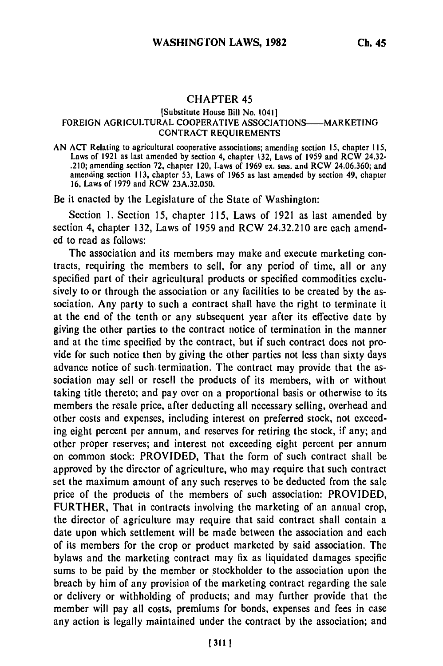## CHAPTER 45

## [Substitute House Bill No. 1041] FOREIGN AGRICULTURAL COOPERATIVE ASSOCIATIONS----MARKETING CONTRACT REQUIREMENTS

AN **ACT** Relating to agricultural cooperative associations; amending section 15, chapter **115,** Laws of 1921 as last amended by section 4, chapter 132, Laws of 1959 and RCW 24.32- .210; amending section 72, chapter 120, Laws of 1969 ex. sess. and RCW 24.06.360; and amending section 113, chapter 53, Laws of 1965 as last amended by section 49, chapter 16, Laws of 1979 and RCW 23A.32.050.

Be it enacted by the Legislature of the State of Washington:

Section 1. Section 15, chapter 115, Laws of 1921 as last amended by section 4, chapter 132, Laws of 1959 and RCW 24.32.210 are each amended to read as follows:

The association and its members may make and execute marketing contracts, requiring the members to sell, for any period of time, all or any specified part of their agricultural products or specified commodities exclusively to or through the association or any facilities to be created by the association. Any party to such a contract shall have the right to terminate it at the end of the tenth or any subsequent year after its effective date by giving the other parties to the contract notice of termination in the manner and at the time specified by the contract, but if such contract does not provide for such notice then by giving the other parties not less than sixty days advance notice of such. termination. The contract may provide that the association may sell or resell the products of its members, with or without taking title thereto; and pay over on a proportional basis or otherwise to its members the resale price, after deducting all necessary selling, overhead and other costs and expenses, including interest on preferred stock, not exceeding eight percent per annum, and reserves for retiring the stock, if any; and other proper reserves; and interest not exceeding eight percent per annum on common stock: PROVIDED, That the form of such contract shall be approved by the director of agriculture, who may require that such contract set the maximum amount of any such reserves to be deducted from the sale price of the products of the members of such association: PROVIDED, FURTHER, That in contracts involving the marketing of an annual crop, the director of agriculture may require that said contract shall contain a date upon which settlement will be made between the association and each of its members for the crop or product marketed by said association. The bylaws and the marketing contract may fix as liquidated damages specific sums to be paid by the member or stockholder to the association upon the breach by him of any provision of the marketing contract regarding the sale or delivery or withholding of products; and may further provide that the member will pay all costs, premiums for bonds, expenses and fees in case any action is legally maintained under the contract by the association; and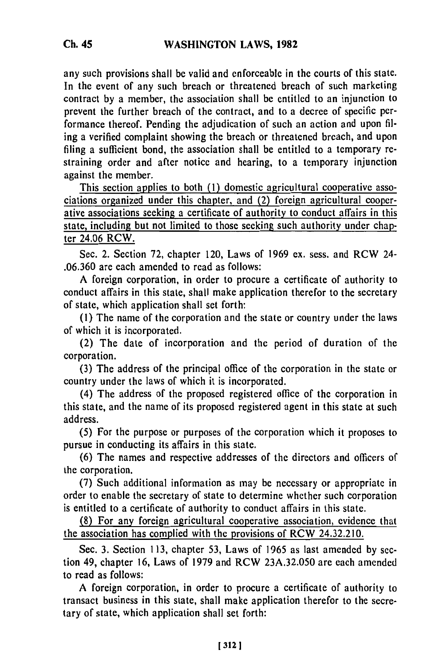any such provisions shall be valid and enforceable in the courts of this state. In the event of any such breach or threatened breach of such marketing contract by a member, the association shall be entitled to an injunction to prevent the further breach of the contract, and to a decree of specific performance thereof. Pending the adjudication of such an action and upon filing a verified complaint showing the breach or threatened breach, and upon filing a sufficient bond, the association shall be entitled to a temporary restraining order and after notice and hearing, to a temporary injunction against the member.

This section applies to both (1) domestic agricultural cooperative associations organized under this chapter, and (2) foreign agricultural cooperative associations seeking a certificate of authority to conduct affairs in this state, including but not limited to those seeking such authority under chapter 24.06 RCW.

Sec. 2. Section 72, chapter 120, Laws of 1969 ex. sess. and RCW 24- .06.360 are each amended to read as follows:

A foreign corporation, in order to procure a certificate of authority to conduct affairs in this state, shall make application therefor to the secretary of state, which application shall set forth:

(1) The name of the corporation and the state or country under the laws of which it is incorporated.

(2) The date of incorporation and the period of duration of the corporation.

(3) The address of the principal office of the corporation in the state or country under the laws of which it is incorporated.

(4) The address of the proposed registered office of the corporation in this state, and the name of its proposed registered agent in this state at such address.

(5) For the purpose or purposes of the corporation which it proposes to pursue in conducting its affairs in this state.

(6) The names and respective addresses of the directors and officers of the corporation.

(7) Such additional information as may be necessary or appropriate in order to enable the secretary of state to determine whether such corporation is entitled to a certificate of authority to conduct affairs in this state.

(8) For any foreign agricultural cooperative association, evidence that the association has complied with the provisions of RCW 24.32.210.

Sec. 3. Section 113, chapter 53, Laws of 1965 as last amended by section 49, chapter 16, Laws of 1979 and RCW 23A.32.050 are each amended to read as follows:

A foreign corporation, in order to procure a certificate of authority to transact business in this state, shall make application therefor to the secretary of state, which application shall set forth: